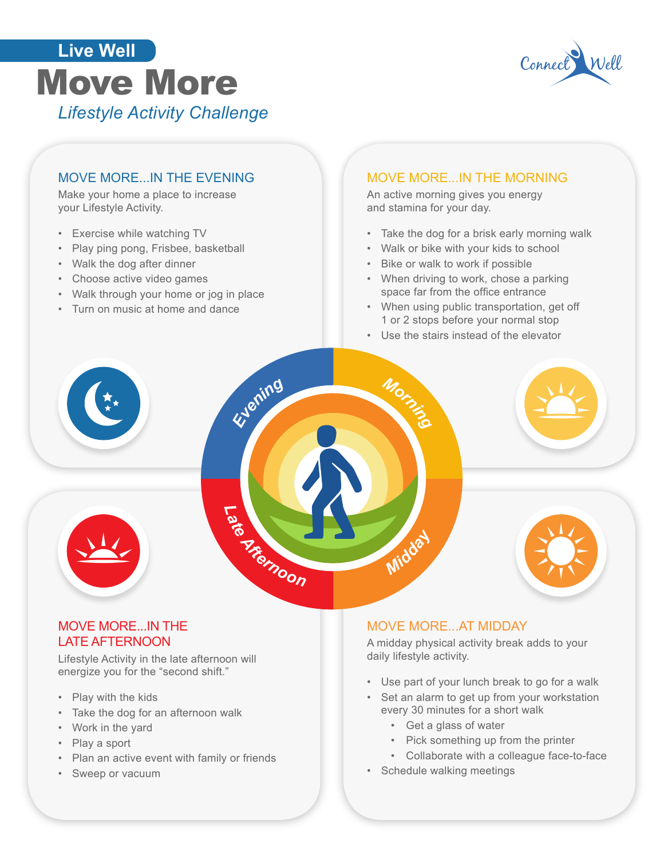# Eine weil More<br>Move More *Lifestyle Activity Challenge* **Live Well**



## MOVE MORE...IN THE EVENING

Make your home a place to increase your Lifestyle Activity.

- Exercise while watching TV
- Play ping pong, Frisbee, basketball
- Walk the dog after dinner
- Choose active video games
- Walk through your home or jog in place
- Turn on music at home and dance

#### MOVE MORE...IN THE MORNING

An active morning gives you energy and stamina for your day.

- Take the dog for a brisk early morning walk
- Walk or bike with your kids to school
- Bike or walk to work if possible
- When driving to work, chose a parking space far from the office entrance
- When using public transportation, get off 1 or 2 stops before your normal stop
- Use the stairs instead of the elevator



#### MOVE MORE...IN THE LATE AFTERNOON

Lifestyle Activity in the late afternoon will energize you for the "second shift."

- Play with the kids
- Take the dog for an afternoon walk
- Work in the yard
- Play a sport
- Plan an active event with family or friends
- Sweep or vacuum

#### MOVE MORE...AT MIDDAY

A midday physical activity break adds to your daily lifestyle activity.

- Use part of your lunch break to go for a walk
- Set an alarm to get up from your workstation every 30 minutes for a short walk
	- Get a glass of water
	- Pick something up from the printer
	- Collaborate with a colleague face-to-face
- Schedule walking meetings